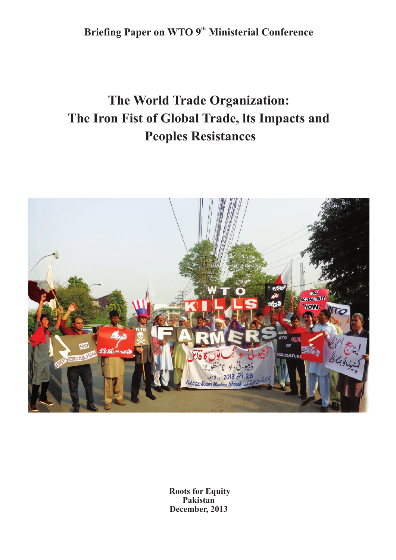**Briefing Paper on WTO 9<sup>th</sup> Ministerial Conference** 

# **The World Trade Organization: The Iron Fist of Global Trade, lts Impacts and Peoples Resistances**



**Roots for Equity Pakistan December, 2013**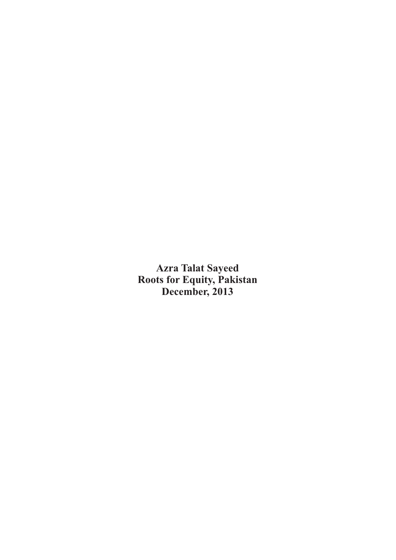**Azra Talat Sayeed Roots for Equity, Pakistan December, 2013**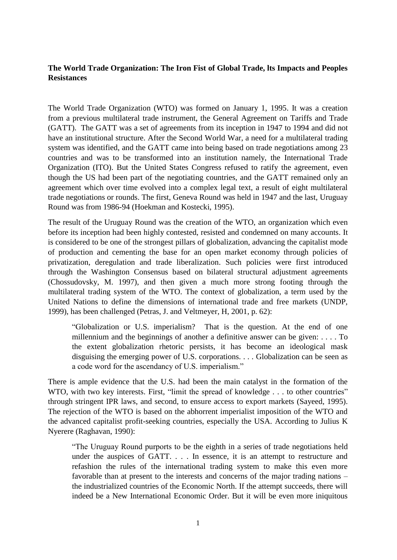## **The World Trade Organization: The Iron Fist of Global Trade, lts Impacts and Peoples Resistances**

The World Trade Organization (WTO) was formed on January 1, 1995. It was a creation from a previous multilateral trade instrument, the General Agreement on Tariffs and Trade (GATT). The GATT was a set of agreements from its inception in 1947 to 1994 and did not have an institutional structure. After the Second World War, a need for a multilateral trading system was identified, and the GATT came into being based on trade negotiations among 23 countries and was to be transformed into an institution namely, the International Trade Organization (ITO). But the United States Congress refused to ratify the agreement, even though the US had been part of the negotiating countries, and the GATT remained only an agreement which over time evolved into a complex legal text, a result of eight multilateral trade negotiations or rounds. The first, Geneva Round was held in 1947 and the last, Uruguay Round was from 1986-94 (Hoekman and Kostecki, 1995).

The result of the Uruguay Round was the creation of the WTO, an organization which even before its inception had been highly contested, resisted and condemned on many accounts. It is considered to be one of the strongest pillars of globalization, advancing the capitalist mode of production and cementing the base for an open market economy through policies of privatization, deregulation and trade liberalization. Such policies were first introduced through the Washington Consensus based on bilateral structural adjustment agreements (Chossudovsky, M. 1997), and then given a much more strong footing through the multilateral trading system of the WTO. The context of globalization, a term used by the United Nations to define the dimensions of international trade and free markets (UNDP, 1999), has been challenged (Petras, J. and Veltmeyer, H, 2001, p. 62):

"Globalization or U.S. imperialism? That is the question. At the end of one millennium and the beginnings of another a definitive answer can be given: . . . . To the extent globalization rhetoric persists, it has become an ideological mask disguising the emerging power of U.S. corporations. . . . Globalization can be seen as a code word for the ascendancy of U.S. imperialism."

There is ample evidence that the U.S. had been the main catalyst in the formation of the WTO, with two key interests. First, "limit the spread of knowledge . . . to other countries" through stringent IPR laws, and second, to ensure access to export markets (Sayeed, 1995). The rejection of the WTO is based on the abhorrent imperialist imposition of the WTO and the advanced capitalist profit-seeking countries, especially the USA. According to Julius K Nyerere (Raghavan, 1990):

"The Uruguay Round purports to be the eighth in a series of trade negotiations held under the auspices of GATT. . . . In essence, it is an attempt to restructure and refashion the rules of the international trading system to make this even more favorable than at present to the interests and concerns of the major trading nations – the industrialized countries of the Economic North. If the attempt succeeds, there will indeed be a New International Economic Order. But it will be even more iniquitous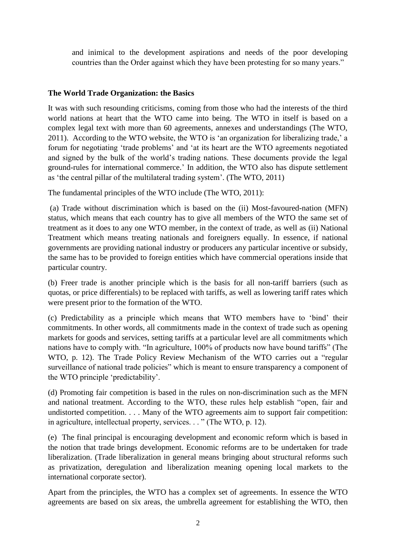and inimical to the development aspirations and needs of the poor developing countries than the Order against which they have been protesting for so many years."

## **The World Trade Organization: the Basics**

It was with such resounding criticisms, coming from those who had the interests of the third world nations at heart that the WTO came into being. The WTO in itself is based on a complex legal text with more than 60 agreements, annexes and understandings (The WTO, 2011). According to the WTO website, the WTO is 'an organization for liberalizing trade,' a forum for negotiating 'trade problems' and 'at its heart are the WTO agreements negotiated and signed by the bulk of the world's trading nations. These documents provide the legal ground-rules for international commerce.' In addition, the WTO also has dispute settlement as 'the central pillar of the multilateral trading system'. (The WTO, 2011)

The fundamental principles of the WTO include (The WTO, 2011):

(a) Trade without discrimination which is based on the (ii) Most-favoured-nation (MFN) status, which means that each country has to give all members of the WTO the same set of treatment as it does to any one WTO member, in the context of trade, as well as (ii) National Treatment which means treating nationals and foreigners equally. In essence, if national governments are providing national industry or producers any particular incentive or subsidy, the same has to be provided to foreign entities which have commercial operations inside that particular country.

(b) Freer trade is another principle which is the basis for all non-tariff barriers (such as quotas, or price differentials) to be replaced with tariffs, as well as lowering tariff rates which were present prior to the formation of the WTO.

(c) Predictability as a principle which means that WTO members have to 'bind' their commitments. In other words, all commitments made in the context of trade such as opening markets for goods and services, setting tariffs at a particular level are all commitments which nations have to comply with. "In agriculture, 100% of products now have bound tariffs" (The WTO, p. 12). The Trade Policy Review Mechanism of the WTO carries out a "regular surveillance of national trade policies" which is meant to ensure transparency a component of the WTO principle 'predictability'.

(d) Promoting fair competition is based in the rules on non-discrimination such as the MFN and national treatment. According to the WTO, these rules help establish "open, fair and undistorted competition. . . . Many of the WTO agreements aim to support fair competition: in agriculture, intellectual property, services. . . " (The WTO, p. 12).

(e) The final principal is encouraging development and economic reform which is based in the notion that trade brings development. Economic reforms are to be undertaken for trade liberalization. (Trade liberalization in general means bringing about structural reforms such as privatization, deregulation and liberalization meaning opening local markets to the international corporate sector).

Apart from the principles, the WTO has a complex set of agreements. In essence the WTO agreements are based on six areas, the umbrella agreement for establishing the WTO, then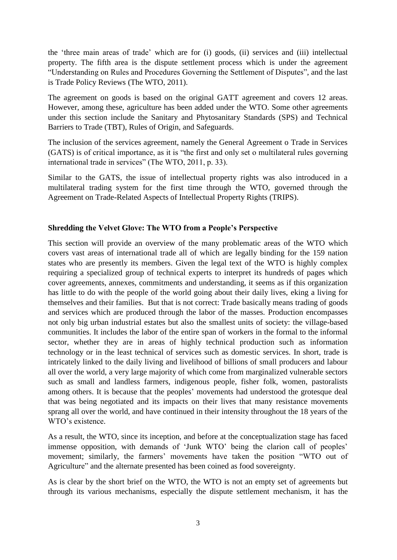the 'three main areas of trade' which are for (i) goods, (ii) services and (iii) intellectual property. The fifth area is the dispute settlement process which is under the agreement "Understanding on Rules and Procedures Governing the Settlement of Disputes", and the last is Trade Policy Reviews (The WTO, 2011).

The agreement on goods is based on the original GATT agreement and covers 12 areas. However, among these, agriculture has been added under the WTO. Some other agreements under this section include the Sanitary and Phytosanitary Standards (SPS) and Technical Barriers to Trade (TBT), Rules of Origin, and Safeguards.

The inclusion of the services agreement, namely the General Agreement o Trade in Services (GATS) is of critical importance, as it is "the first and only set o multilateral rules governing international trade in services" (The WTO, 2011, p. 33).

Similar to the GATS, the issue of intellectual property rights was also introduced in a multilateral trading system for the first time through the WTO, governed through the Agreement on Trade-Related Aspects of Intellectual Property Rights (TRIPS).

## **Shredding the Velvet Glove: The WTO from a People's Perspective**

This section will provide an overview of the many problematic areas of the WTO which covers vast areas of international trade all of which are legally binding for the 159 nation states who are presently its members. Given the legal text of the WTO is highly complex requiring a specialized group of technical experts to interpret its hundreds of pages which cover agreements, annexes, commitments and understanding, it seems as if this organization has little to do with the people of the world going about their daily lives, eking a living for themselves and their families. But that is not correct: Trade basically means trading of goods and services which are produced through the labor of the masses. Production encompasses not only big urban industrial estates but also the smallest units of society: the village-based communities. It includes the labor of the entire span of workers in the formal to the informal sector, whether they are in areas of highly technical production such as information technology or in the least technical of services such as domestic services. In short, trade is intricately linked to the daily living and livelihood of billions of small producers and labour all over the world, a very large majority of which come from marginalized vulnerable sectors such as small and landless farmers, indigenous people, fisher folk, women, pastoralists among others. It is because that the peoples' movements had understood the grotesque deal that was being negotiated and its impacts on their lives that many resistance movements sprang all over the world, and have continued in their intensity throughout the 18 years of the WTO's existence.

As a result, the WTO, since its inception, and before at the conceptualization stage has faced immense opposition, with demands of 'Junk WTO' being the clarion call of peoples' movement; similarly, the farmers' movements have taken the position "WTO out of Agriculture" and the alternate presented has been coined as food sovereignty.

As is clear by the short brief on the WTO, the WTO is not an empty set of agreements but through its various mechanisms, especially the dispute settlement mechanism, it has the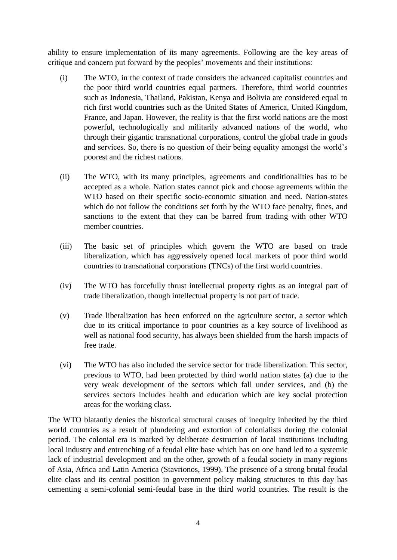ability to ensure implementation of its many agreements. Following are the key areas of critique and concern put forward by the peoples' movements and their institutions:

- (i) The WTO, in the context of trade considers the advanced capitalist countries and the poor third world countries equal partners. Therefore, third world countries such as Indonesia, Thailand, Pakistan, Kenya and Bolivia are considered equal to rich first world countries such as the United States of America, United Kingdom, France, and Japan. However, the reality is that the first world nations are the most powerful, technologically and militarily advanced nations of the world, who through their gigantic transnational corporations, control the global trade in goods and services. So, there is no question of their being equality amongst the world's poorest and the richest nations.
- (ii) The WTO, with its many principles, agreements and conditionalities has to be accepted as a whole. Nation states cannot pick and choose agreements within the WTO based on their specific socio-economic situation and need. Nation-states which do not follow the conditions set forth by the WTO face penalty, fines, and sanctions to the extent that they can be barred from trading with other WTO member countries.
- (iii) The basic set of principles which govern the WTO are based on trade liberalization, which has aggressively opened local markets of poor third world countries to transnational corporations (TNCs) of the first world countries.
- (iv) The WTO has forcefully thrust intellectual property rights as an integral part of trade liberalization, though intellectual property is not part of trade.
- (v) Trade liberalization has been enforced on the agriculture sector, a sector which due to its critical importance to poor countries as a key source of livelihood as well as national food security, has always been shielded from the harsh impacts of free trade.
- (vi) The WTO has also included the service sector for trade liberalization. This sector, previous to WTO, had been protected by third world nation states (a) due to the very weak development of the sectors which fall under services, and (b) the services sectors includes health and education which are key social protection areas for the working class.

The WTO blatantly denies the historical structural causes of inequity inherited by the third world countries as a result of plundering and extortion of colonialists during the colonial period. The colonial era is marked by deliberate destruction of local institutions including local industry and entrenching of a feudal elite base which has on one hand led to a systemic lack of industrial development and on the other, growth of a feudal society in many regions of Asia, Africa and Latin America (Stavrionos, 1999). The presence of a strong brutal feudal elite class and its central position in government policy making structures to this day has cementing a semi-colonial semi-feudal base in the third world countries. The result is the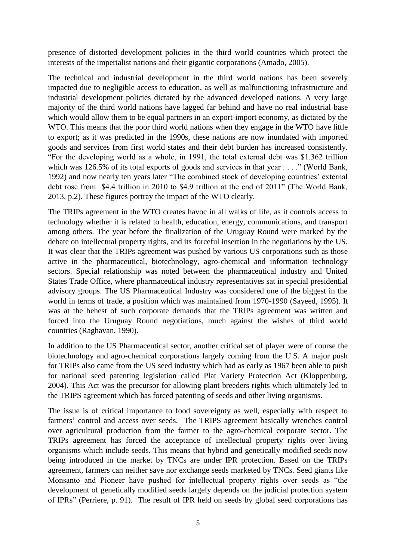presence of distorted development policies in the third world countries which protect the interests of the imperialist nations and their gigantic corporations (Amado, 2005).

The technical and industrial development in the third world nations has been severely impacted due to negligible access to education, as well as malfunctioning infrastructure and industrial development policies dictated by the advanced developed nations. A very large majority of the third world nations have lagged far behind and have no real industrial base which would allow them to be equal partners in an export-import economy, as dictated by the WTO. This means that the poor third world nations when they engage in the WTO have little to export; as it was predicted in the 1990s, these nations are now inundated with imported goods and services from first world states and their debt burden has increased consistently. "For the developing world as a whole, in 1991, the total external debt was \$1.362 trillion which was 126.5% of its total exports of goods and services in that year . . . ." (World Bank, 1992) and now nearly ten years later "The combined stock of developing countries' external debt rose from \$4.4 trillion in 2010 to \$4.9 trillion at the end of 2011" (The World Bank, 2013, p.2). These figures portray the impact of the WTO clearly.

The TRIPs agreement in the WTO creates havoc in all walks of life, as it controls access to technology whether it is related to health, education, energy, communications, and transport among others. The year before the finalization of the Uruguay Round were marked by the debate on intellectual property rights, and its forceful insertion in the negotiations by the US. It was clear that the TRIPs agreement was pushed by various US corporations such as those active in the pharmaceutical, biotechnology, agro-chemical and information technology sectors. Special relationship was noted between the pharmaceutical industry and United States Trade Office, where pharmaceutical industry representatives sat in special presidential advisory groups. The US Pharmaceutical Industry was considered one of the biggest in the world in terms of trade, a position which was maintained from 1970-1990 (Sayeed, 1995). It was at the behest of such corporate demands that the TRIPs agreement was written and forced into the Uruguay Round negotiations, much against the wishes of third world countries (Raghavan, 1990).

In addition to the US Pharmaceutical sector, another critical set of player were of course the biotechnology and agro-chemical corporations largely coming from the U.S. A major push for TRIPs also came from the US seed industry which had as early as 1967 been able to push for national seed patenting legislation called Plat Variety Protection Act (Kloppenburg, 2004). This Act was the precursor for allowing plant breeders rights which ultimately led to the TRIPS agreement which has forced patenting of seeds and other living organisms.

The issue is of critical importance to food sovereignty as well, especially with respect to farmers' control and access over seeds. The TRIPS agreement basically wrenches control over agricultural production from the farmer to the agro-chemical corporate sector. The TRIPs agreement has forced the acceptance of intellectual property rights over living organisms which include seeds. This means that hybrid and genetically modified seeds now being introduced in the market by TNCs are under IPR protection. Based on the TRIPs agreement, farmers can neither save nor exchange seeds marketed by TNCs. Seed giants like Monsanto and Pioneer have pushed for intellectual property rights over seeds as "the development of genetically modified seeds largely depends on the judicial protection system of IPRs" (Perriere, p. 91). The result of IPR held on seeds by global seed corporations has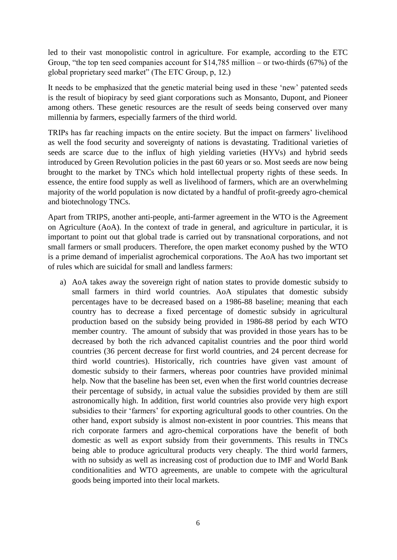led to their vast monopolistic control in agriculture. For example, according to the ETC Group, "the top ten seed companies account for \$14,785 million – or two-thirds (67%) of the global proprietary seed market" (The ETC Group, p, 12.)

It needs to be emphasized that the genetic material being used in these 'new' patented seeds is the result of biopiracy by seed giant corporations such as Monsanto, Dupont, and Pioneer among others. These genetic resources are the result of seeds being conserved over many millennia by farmers, especially farmers of the third world.

TRIPs has far reaching impacts on the entire society. But the impact on farmers' livelihood as well the food security and sovereignty of nations is devastating. Traditional varieties of seeds are scarce due to the influx of high yielding varieties (HYVs) and hybrid seeds introduced by Green Revolution policies in the past 60 years or so. Most seeds are now being brought to the market by TNCs which hold intellectual property rights of these seeds. In essence, the entire food supply as well as livelihood of farmers, which are an overwhelming majority of the world population is now dictated by a handful of profit-greedy agro-chemical and biotechnology TNCs.

Apart from TRIPS, another anti-people, anti-farmer agreement in the WTO is the Agreement on Agriculture (AoA). In the context of trade in general, and agriculture in particular, it is important to point out that global trade is carried out by transnational corporations, and not small farmers or small producers. Therefore, the open market economy pushed by the WTO is a prime demand of imperialist agrochemical corporations. The AoA has two important set of rules which are suicidal for small and landless farmers:

a) AoA takes away the sovereign right of nation states to provide domestic subsidy to small farmers in third world countries. AoA stipulates that domestic subsidy percentages have to be decreased based on a 1986-88 baseline; meaning that each country has to decrease a fixed percentage of domestic subsidy in agricultural production based on the subsidy being provided in 1986-88 period by each WTO member country. The amount of subsidy that was provided in those years has to be decreased by both the rich advanced capitalist countries and the poor third world countries (36 percent decrease for first world countries, and 24 percent decrease for third world countries). Historically, rich countries have given vast amount of domestic subsidy to their farmers, whereas poor countries have provided minimal help. Now that the baseline has been set, even when the first world countries decrease their percentage of subsidy, in actual value the subsidies provided by them are still astronomically high. In addition, first world countries also provide very high export subsidies to their 'farmers' for exporting agricultural goods to other countries. On the other hand, export subsidy is almost non-existent in poor countries. This means that rich corporate farmers and agro-chemical corporations have the benefit of both domestic as well as export subsidy from their governments. This results in TNCs being able to produce agricultural products very cheaply. The third world farmers, with no subsidy as well as increasing cost of production due to IMF and World Bank conditionalities and WTO agreements, are unable to compete with the agricultural goods being imported into their local markets.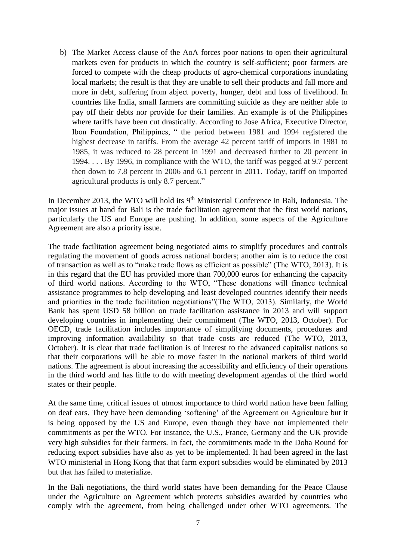b) The Market Access clause of the AoA forces poor nations to open their agricultural markets even for products in which the country is self-sufficient; poor farmers are forced to compete with the cheap products of agro-chemical corporations inundating local markets; the result is that they are unable to sell their products and fall more and more in debt, suffering from abject poverty, hunger, debt and loss of livelihood. In countries like India, small farmers are committing suicide as they are neither able to pay off their debts nor provide for their families. An example is of the Philippines where tariffs have been cut drastically. According to Jose Africa, Executive Director, Ibon Foundation, Philippines, " the period between 1981 and 1994 registered the highest decrease in tariffs. From the average 42 percent tariff of imports in 1981 to 1985, it was reduced to 28 percent in 1991 and decreased further to 20 percent in 1994. . . . By 1996, in compliance with the WTO, the tariff was pegged at 9.7 percent then down to 7.8 percent in 2006 and 6.1 percent in 2011. Today, tariff on imported agricultural products is only 8.7 percent."

In December 2013, the WTO will hold its  $9<sup>th</sup>$  Ministerial Conference in Bali, Indonesia. The major issues at hand for Bali is the trade facilitation agreement that the first world nations, particularly the US and Europe are pushing. In addition, some aspects of the Agriculture Agreement are also a priority issue.

The trade facilitation agreement being negotiated aims to simplify procedures and controls regulating the movement of goods across national borders; another aim is to reduce the cost of transaction as well as to "make trade flows as efficient as possible" (The WTO, 2013). It is in this regard that the EU has provided more than 700,000 euros for enhancing the capacity of third world nations. According to the WTO, "These donations will finance technical assistance programmes to help developing and least developed countries identify their needs and priorities in the trade facilitation negotiations"(The WTO, 2013). Similarly, the World Bank has spent USD 58 billion on trade facilitation assistance in 2013 and will support developing countries in implementing their commitment (The WTO, 2013, October). For OECD, trade facilitation includes importance of simplifying documents, procedures and improving information availability so that trade costs are reduced (The WTO, 2013, October). It is clear that trade facilitation is of interest to the advanced capitalist nations so that their corporations will be able to move faster in the national markets of third world nations. The agreement is about increasing the accessibility and efficiency of their operations in the third world and has little to do with meeting development agendas of the third world states or their people.

At the same time, critical issues of utmost importance to third world nation have been falling on deaf ears. They have been demanding 'softening' of the Agreement on Agriculture but it is being opposed by the US and Europe, even though they have not implemented their commitments as per the WTO. For instance, the U.S., France, Germany and the UK provide very high subsidies for their farmers. In fact, the commitments made in the Doha Round for reducing export subsidies have also as yet to be implemented. It had been agreed in the last WTO ministerial in Hong Kong that that farm export subsidies would be eliminated by 2013 but that has failed to materialize.

In the Bali negotiations, the third world states have been demanding for the Peace Clause under the Agriculture on Agreement which protects subsidies awarded by countries who comply with the agreement, from being challenged under other WTO agreements. The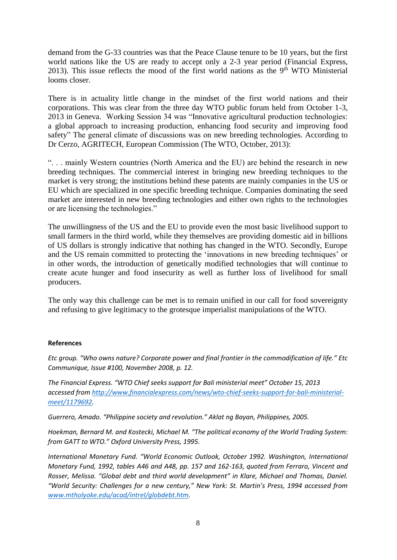demand from the G-33 countries was that the Peace Clause tenure to be 10 years, but the first world nations like the US are ready to accept only a 2-3 year period (Financial Express, 2013). This issue reflects the mood of the first world nations as the  $9<sup>th</sup>$  WTO Ministerial looms closer.

There is in actuality little change in the mindset of the first world nations and their corporations. This was clear from the three day WTO public forum held from October 1-3, 2013 in Geneva. Working Session 34 was "Innovative agricultural production technologies: a global approach to increasing production, enhancing food security and improving food safety" The general climate of discussions was on new breeding technologies. According to Dr Cerzo, AGRITECH, European Commission (The WTO, October, 2013):

". . . mainly Western countries (North America and the EU) are behind the research in new breeding techniques. The commercial interest in bringing new breeding techniques to the market is very strong; the institutions behind these patents are mainly companies in the US or EU which are specialized in one specific breeding technique. Companies dominating the seed market are interested in new breeding technologies and either own rights to the technologies or are licensing the technologies."

The unwillingness of the US and the EU to provide even the most basic livelihood support to small farmers in the third world, while they themselves are providing domestic aid in billions of US dollars is strongly indicative that nothing has changed in the WTO. Secondly, Europe and the US remain committed to protecting the 'innovations in new breeding techniques' or in other words, the introduction of genetically modified technologies that will continue to create acute hunger and food insecurity as well as further loss of livelihood for small producers.

The only way this challenge can be met is to remain unified in our call for food sovereignty and refusing to give legitimacy to the grotesque imperialist manipulations of the WTO.

### **References**

*Etc group. "Who owns nature? Corporate power and final frontier in the commodification of life." Etc Communique, Issue #100, November 2008, p. 12.*

*The Financial Express. "WTO Chief seeks support for Bali ministerial meet" October 15, 2013 accessed from [http://www.financialexpress.com/news/wto-chief-seeks-support-for-bali-ministerial](http://www.financialexpress.com/news/wto-chief-seeks-support-for-bali-ministerial-meet/1179692)[meet/1179692.](http://www.financialexpress.com/news/wto-chief-seeks-support-for-bali-ministerial-meet/1179692)*

*Guerrero, Amado. "Philippine society and revolution." Aklat ng Bayan, Philippines, 2005.*

*Hoekman, Bernard M. and Kostecki, Michael M. "The political economy of the World Trading System: from GATT to WTO." Oxford University Press, 1995.*

*International Monetary Fund. "World Economic Outlook, October 1992. Washington, International Monetary Fund, 1992, tables A46 and A48, pp. 157 and 162-163, quoted from Ferraro, Vincent and Rosser, Melissa. "Global debt and third world development" in Klare, Michael and Thomas, Daniel. "World Security: Challenges for a new century," New York: St. Martin's Press, 1994 accessed from [www.mtholyoke.edu/acad/intrel/globdebt.htm.](http://www.mtholyoke.edu/acad/intrel/globdebt.htm)*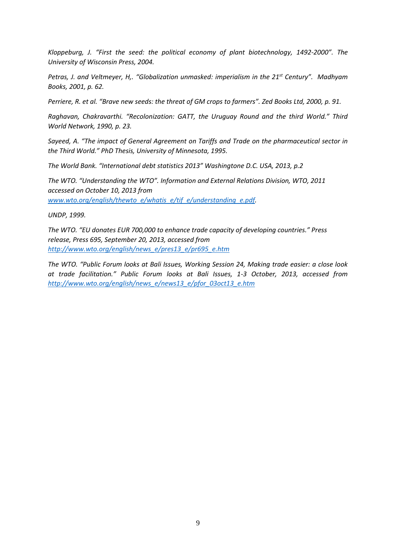*Kloppeburg, J. "First the seed: the political economy of plant biotechnology, 1492-2000". The University of Wisconsin Press, 2004.*

*Petras, J. and Veltmeyer, H,. "Globalization unmasked: imperialism in the 21st Century". Madhyam Books, 2001, p. 62.*

*Perriere, R. et al. "Brave new seeds: the threat of GM crops to farmers". Zed Books Ltd, 2000, p. 91.*

*Raghavan, Chakravarthi. "Recolonization: GATT, the Uruguay Round and the third World." Third World Network, 1990, p. 23.*

*Sayeed, A. "The impact of General Agreement on Tariffs and Trade on the pharmaceutical sector in the Third World." PhD Thesis, University of Minnesota, 1995.*

*The World Bank. "International debt statistics 2013" Washingtone D.C. USA, 2013, p.2*

*The WTO. "Understanding the WTO". Information and External Relations Division, WTO, 2011 accessed on October 10, 2013 from [www.wto.org/english/thewto\\_e/whatis\\_e/tif\\_e/understanding\\_e.pdf.](http://www.wto.org/english/thewto_e/whatis_e/tif_e/understanding_e.pdf)*

*UNDP, 1999.* 

*The WTO. "EU donates EUR 700,000 to enhance trade capacity of developing countries." Press release, Press 695, September 20, 2013, accessed from [http://www.wto.org/english/news\\_e/pres13\\_e/pr695\\_e.htm](http://www.wto.org/english/news_e/pres13_e/pr695_e.htm)*

*The WTO. "Public Forum looks at Bali Issues, Working Session 24, Making trade easier: a close look at trade facilitation." Public Forum looks at Bali Issues, 1-3 October, 2013, accessed from [http://www.wto.org/english/news\\_e/news13\\_e/pfor\\_03oct13\\_e.htm](http://www.wto.org/english/news_e/news13_e/pfor_03oct13_e.htm)*